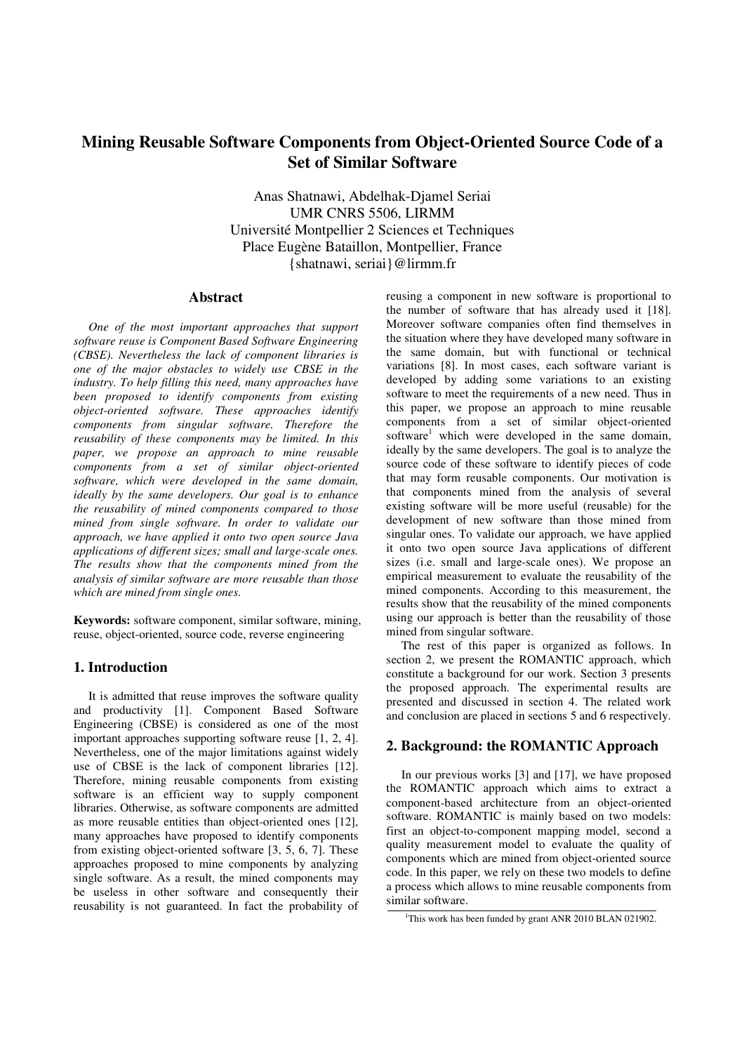# **Mining Reusable Software Components from Object-Oriented Source Code of a Set of Similar Software**

Anas Shatnawi, Abdelhak-Djamel Seriai UMR CNRS 5506, LIRMM Université Montpellier 2 Sciences et Techniques Place Eugène Bataillon, Montpellier, France {shatnawi, seriai}@lirmm.fr

### **Abstract**

*One of the most important approaches that support software reuse is Component Based Software Engineering (CBSE). Nevertheless the lack of component libraries is one of the major obstacles to widely use CBSE in the industry. To help filling this need, many approaches have been proposed to identify components from existing object-oriented software. These approaches identify components from singular software. Therefore the reusability of these components may be limited. In this paper, we propose an approach to mine reusable components from a set of similar object-oriented software, which were developed in the same domain, ideally by the same developers. Our goal is to enhance the reusability of mined components compared to those mined from single software. In order to validate our approach, we have applied it onto two open source Java applications of different sizes; small and large-scale ones. The results show that the components mined from the analysis of similar software are more reusable than those which are mined from single ones.*

**Keywords:** software component, similar software, mining, reuse, object-oriented, source code, reverse engineering

# **1. Introduction**

It is admitted that reuse improves the software quality and productivity [1]. Component Based Software Engineering (CBSE) is considered as one of the most important approaches supporting software reuse [1, 2, 4]. Nevertheless, one of the major limitations against widely use of CBSE is the lack of component libraries [12]. Therefore, mining reusable components from existing software is an efficient way to supply component libraries. Otherwise, as software components are admitted as more reusable entities than object-oriented ones [12], many approaches have proposed to identify components from existing object-oriented software [3, 5, 6, 7]. These approaches proposed to mine components by analyzing single software. As a result, the mined components may be useless in other software and consequently their reusability is not guaranteed. In fact the probability of

reusing a component in new software is proportional to the number of software that has already used it [18]. Moreover software companies often find themselves in the situation where they have developed many software in the same domain, but with functional or technical variations [8]. In most cases, each software variant is developed by adding some variations to an existing software to meet the requirements of a new need. Thus in this paper, we propose an approach to mine reusable components from a set of similar object-oriented software<sup>1</sup> which were developed in the same domain, ideally by the same developers. The goal is to analyze the source code of these software to identify pieces of code that may form reusable components. Our motivation is that components mined from the analysis of several existing software will be more useful (reusable) for the development of new software than those mined from singular ones. To validate our approach, we have applied it onto two open source Java applications of different sizes (i.e. small and large-scale ones). We propose an empirical measurement to evaluate the reusability of the mined components. According to this measurement, the results show that the reusability of the mined components using our approach is better than the reusability of those mined from singular software.

The rest of this paper is organized as follows. In section 2, we present the ROMANTIC approach, which constitute a background for our work. Section 3 presents the proposed approach. The experimental results are presented and discussed in section 4. The related work and conclusion are placed in sections 5 and 6 respectively.

# **2. Background: the ROMANTIC Approach**

In our previous works [3] and [17], we have proposed the ROMANTIC approach which aims to extract a component-based architecture from an object-oriented software. ROMANTIC is mainly based on two models: first an object-to-component mapping model, second a quality measurement model to evaluate the quality of components which are mined from object-oriented source code. In this paper, we rely on these two models to define a process which allows to mine reusable components from similar software.

This work has been funded by grant ANR 2010 BLAN 021902.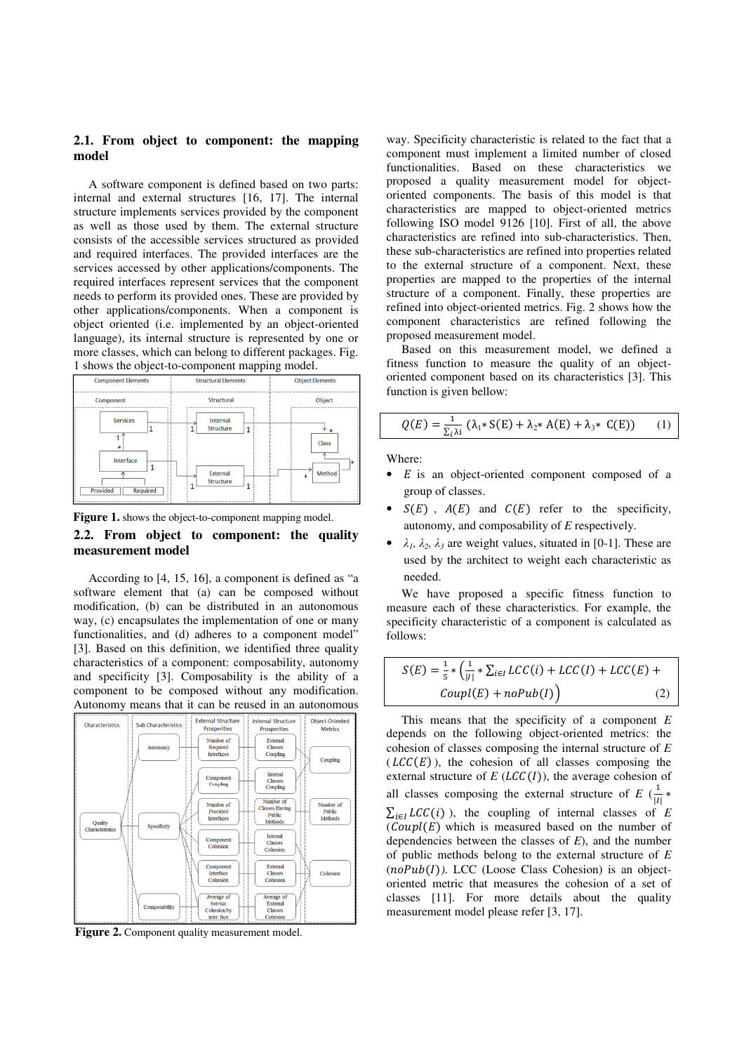### **2.1. From object to component: the mapping model**

A software component is defined based on two parts: internal and external structures [16, 17]. The internal structure implements services provided by the component as well as those used by them. The external structure consists of the accessible services structured as provided and required interfaces. The provided interfaces are the services accessed by other applications/components. The required interfaces represent services that the component needs to perform its provided ones. These are provided by other applications/components. When a component is object oriented (i.e. implemented by an object-oriented language), its internal structure is represented by one or more classes, which can belong to different packages. Fig. 1 shows the object-to-component mapping model.





# **2.2. From object to component: the quality measurement model**

According to [4, 15, 16], a component is defined as "a software element that (a) can be composed without modification, (b) can be distributed in an autonomous way, (c) encapsulates the implementation of one or many functionalities, and (d) adheres to a component model" [3]. Based on this definition, we identified three quality characteristics of a component: composability, autonomy and specificity [3]. Composability is the ability of a component to be composed without any modification. Autonomy means that it can be reused in an autonomous



**Figure 2.** Component quality measurement model.

way. Specificity characteristic is related to the fact that a component must implement a limited number of closed functionalities. Based on these characteristics we proposed a quality measurement model for objectoriented components. The basis of this model is that characteristics are mapped to object-oriented metrics following ISO model 9126 [10]. First of all, the above characteristics are refined into sub-characteristics. Then, these sub-characteristics are refined into properties related to the external structure of a component. Next, these properties are mapped to the properties of the internal structure of a component. Finally, these properties are refined into object-oriented metrics. Fig. 2 shows how the component characteristics are refined following the proposed measurement model.

Based on this measurement model, we defined a fitness function to measure the quality of an objectoriented component based on its characteristics [3]. This function is given bellow:

$$
Q(E) = \frac{1}{\Sigma_{i} \lambda i} \left( \lambda_{1} * S(E) + \lambda_{2} * A(E) + \lambda_{3} * C(E) \right) \tag{1}
$$

Where:

- $E$  is an object-oriented component composed of a group of classes.
- $S(E)$ ,  $A(E)$  and  $C(E)$  refer to the specificity, autonomy, and composability of *E* respectively.
- $\lambda_1$ ,  $\lambda_2$ ,  $\lambda_3$  are weight values, situated in [0-1]. These are used by the architect to weight each characteristic as needed.

We have proposed a specific fitness function to measure each of these characteristics. For example, the specificity characteristic of a component is calculated as follows:

$$
S(E) = \frac{1}{5} * \left(\frac{1}{|I|} * \sum_{i \in I} LCC(i) + LCC(I) + LCC(E) + \text{CoupI}(E) + \text{noPub}(I)\right) \tag{2}
$$

This means that the specificity of a component *E* depends on the following object-oriented metrics: the cohesion of classes composing the internal structure of *E*  $(LCC(E))$ , the cohesion of all classes composing the external structure of  $E$  ( $LCC(I)$ ), the average cohesion of all classes composing the external structure of  $E\left(\frac{1}{|I|}\right)$  $\sum_{i \in I} LCC(i)$ ), the coupling of internal classes of *E*  $\mathcal{C} \text{cup}(E)$  which is measured based on the number of dependencies between the classes of *E*), and the number of public methods belong to the external structure of *E*  $(n oPub(I))$ . LCC (Loose Class Cohesion) is an objectoriented metric that measures the cohesion of a set of classes [11]. For more details about the quality measurement model please refer [3, 17].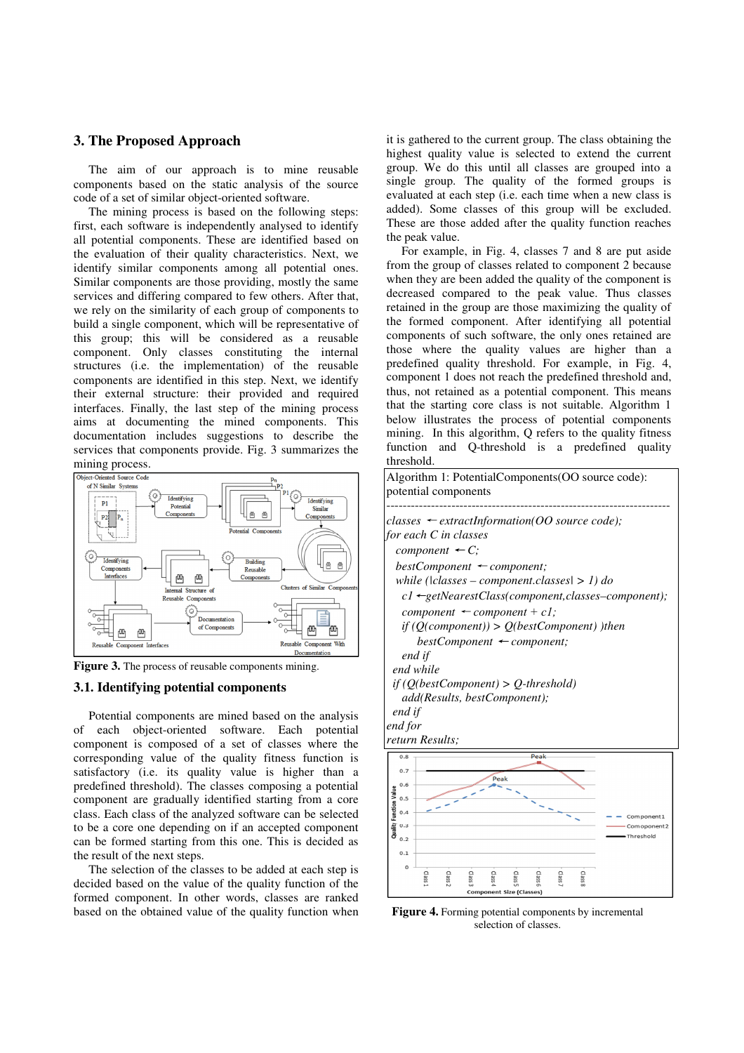# **3. The Proposed Approach**

The aim of our approach is to mine reusable components based on the static analysis of the source code of a set of similar object-oriented software.

The mining process is based on the following steps: first, each software is independently analysed to identify all potential components. These are identified based on the evaluation of their quality characteristics. Next, we identify similar components among all potential ones. Similar components are those providing, mostly the same services and differing compared to few others. After that, we rely on the similarity of each group of components to build a single component, which will be representative of this group; this will be considered as a reusable component. Only classes constituting the internal structures (i.e. the implementation) of the reusable components are identified in this step. Next, we identify their external structure: their provided and required interfaces. Finally, the last step of the mining process aims at documenting the mined components. This documentation includes suggestions to describe the services that components provide. Fig. 3 summarizes the



**Figure 3.** The process of reusable components mining.

### **3.1. Identifying potential components**

Potential components are mined based on the analysis of each object-oriented software. Each potential component is composed of a set of classes where the corresponding value of the quality fitness function is satisfactory (i.e. its quality value is higher than a predefined threshold). The classes composing a potential component are gradually identified starting from a core class. Each class of the analyzed software can be selected to be a core one depending on if an accepted component can be formed starting from this one. This is decided as the result of the next steps.

The selection of the classes to be added at each step is decided based on the value of the quality function of the formed component. In other words, classes are ranked based on the obtained value of the quality function when

it is gathered to the current group. The class obtaining the highest quality value is selected to extend the current group. We do this until all classes are grouped into a single group. The quality of the formed groups is evaluated at each step (i.e. each time when a new class is added). Some classes of this group will be excluded. These are those added after the quality function reaches the peak value.

For example, in Fig. 4, classes 7 and 8 are put aside from the group of classes related to component 2 because when they are been added the quality of the component is decreased compared to the peak value. Thus classes retained in the group are those maximizing the quality of the formed component. After identifying all potential components of such software, the only ones retained are those where the quality values are higher than a predefined quality threshold. For example, in Fig. 4, component 1 does not reach the predefined threshold and, thus, not retained as a potential component. This means that the starting core class is not suitable. Algorithm 1 below illustrates the process of potential components mining. In this algorithm, Q refers to the quality fitness function and Q-threshold is a predefined quality threshold.





SSEI SS<sub>e</sub> SS<sub>e</sub>n

Class Class:

SS<sub>B</sub> SS<sub>B</sub> SS<sub>e</sub>r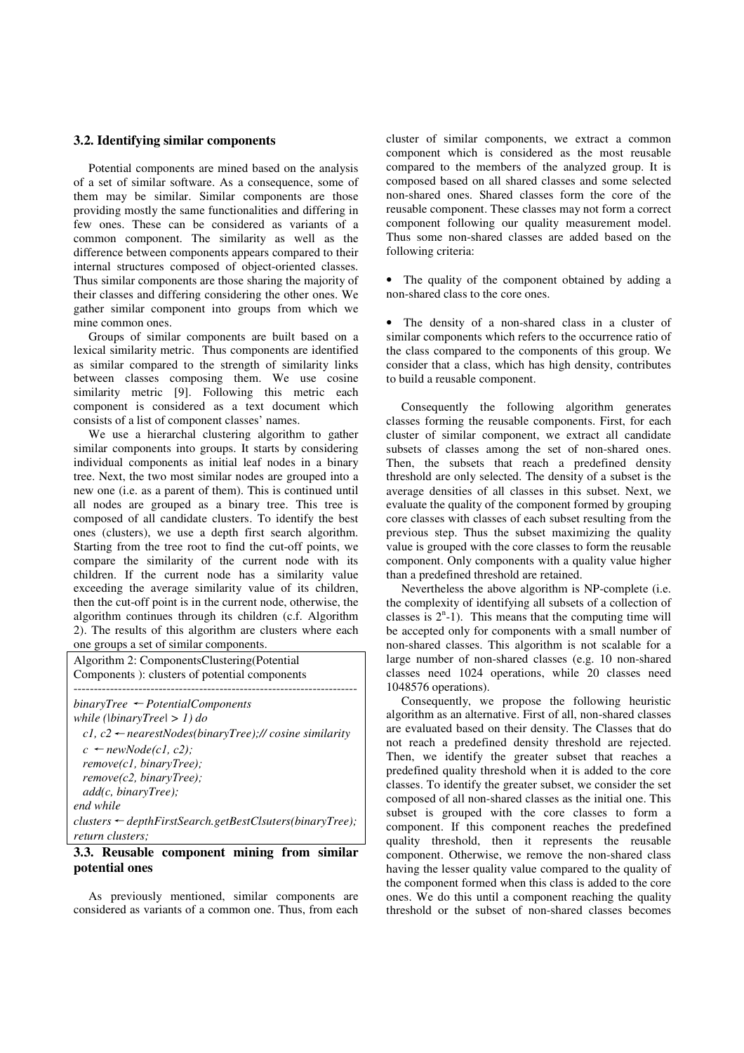### **3.2. Identifying similar components**

Potential components are mined based on the analysis of a set of similar software. As a consequence, some of them may be similar. Similar components are those providing mostly the same functionalities and differing in few ones. These can be considered as variants of a common component. The similarity as well as the difference between components appears compared to their internal structures composed of object-oriented classes. Thus similar components are those sharing the majority of their classes and differing considering the other ones. We gather similar component into groups from which we mine common ones.

Groups of similar components are built based on a lexical similarity metric. Thus components are identified as similar compared to the strength of similarity links between classes composing them. We use cosine similarity metric [9]. Following this metric each component is considered as a text document which consists of a list of component classes' names.

We use a hierarchal clustering algorithm to gather similar components into groups. It starts by considering individual components as initial leaf nodes in a binary tree. Next, the two most similar nodes are grouped into a new one (i.e. as a parent of them). This is continued until all nodes are grouped as a binary tree. This tree is composed of all candidate clusters. To identify the best ones (clusters), we use a depth first search algorithm. Starting from the tree root to find the cut-off points, we compare the similarity of the current node with its children. If the current node has a similarity value exceeding the average similarity value of its children, then the cut-off point is in the current node, otherwise, the algorithm continues through its children (c.f. Algorithm 2). The results of this algorithm are clusters where each one groups a set of similar components.

Algorithm 2: ComponentsClustering(Potential Components ): clusters of potential components --------------------------------------------------------------------- *binaryTree* ← *PotentialComponents* 

| while (\binaryTree\ $> 1$ ) do                                     |
|--------------------------------------------------------------------|
| c1, c2 $\leftarrow$ nearestNodes(binaryTree);// cosine similarity  |
| $c \leftarrow newNode(cl, c2);$                                    |
| remove(cl, binaryTree);                                            |
| remove(c2, binaryTree);                                            |
| add(c, binaryTree);                                                |
| end while                                                          |
| $clusters \leftarrow depthFirstSearch.getBestCl\:ers(binaryTree);$ |
| return clusters;                                                   |

#### **3.3. Reusable component mining from similar potential ones**

As previously mentioned, similar components are considered as variants of a common one. Thus, from each cluster of similar components, we extract a common component which is considered as the most reusable compared to the members of the analyzed group. It is composed based on all shared classes and some selected non-shared ones. Shared classes form the core of the reusable component. These classes may not form a correct component following our quality measurement model. Thus some non-shared classes are added based on the following criteria:

• The quality of the component obtained by adding a non-shared class to the core ones.

The density of a non-shared class in a cluster of similar components which refers to the occurrence ratio of the class compared to the components of this group. We consider that a class, which has high density, contributes to build a reusable component.

Consequently the following algorithm generates classes forming the reusable components. First, for each cluster of similar component, we extract all candidate subsets of classes among the set of non-shared ones. Then, the subsets that reach a predefined density threshold are only selected. The density of a subset is the average densities of all classes in this subset. Next, we evaluate the quality of the component formed by grouping core classes with classes of each subset resulting from the previous step. Thus the subset maximizing the quality value is grouped with the core classes to form the reusable component. Only components with a quality value higher than a predefined threshold are retained.

Nevertheless the above algorithm is NP-complete (i.e. the complexity of identifying all subsets of a collection of classes is  $2<sup>n</sup> - 1$ ). This means that the computing time will be accepted only for components with a small number of non-shared classes. This algorithm is not scalable for a large number of non-shared classes (e.g. 10 non-shared classes need 1024 operations, while 20 classes need 1048576 operations).

Consequently, we propose the following heuristic algorithm as an alternative. First of all, non-shared classes are evaluated based on their density. The Classes that do not reach a predefined density threshold are rejected. Then, we identify the greater subset that reaches a predefined quality threshold when it is added to the core classes. To identify the greater subset, we consider the set composed of all non-shared classes as the initial one. This subset is grouped with the core classes to form a component. If this component reaches the predefined quality threshold, then it represents the reusable component. Otherwise, we remove the non-shared class having the lesser quality value compared to the quality of the component formed when this class is added to the core ones. We do this until a component reaching the quality threshold or the subset of non-shared classes becomes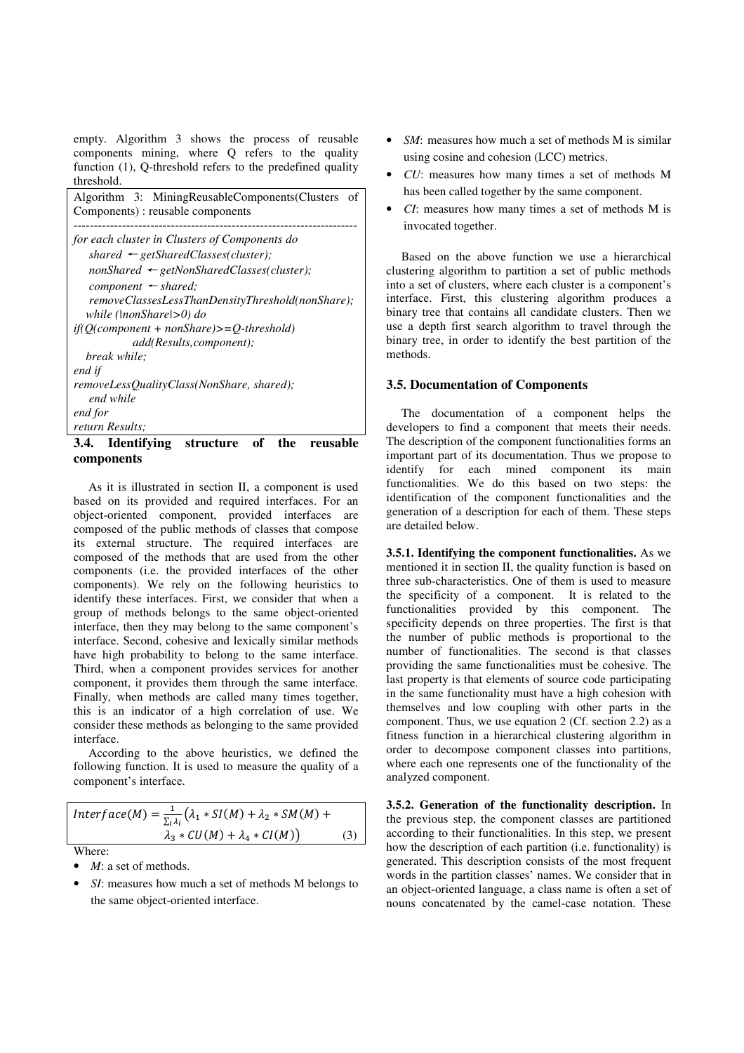empty. Algorithm 3 shows the process of reusable components mining, where Q refers to the quality function (1), Q-threshold refers to the predefined quality threshold.

| Algorithm 3: MiningReusableComponents (Clusters<br>- of<br>Components) : reusable components |
|----------------------------------------------------------------------------------------------|
| for each cluster in Clusters of Components do                                                |
| shared $\leftarrow$ getSharedClasses(cluster);                                               |
| $nonShared \leftarrow getNonSharedClasses(cluster);$                                         |
| $component \leftarrow shared;$                                                               |
| removeClassesLessThanDensityThreshold(nonShare);                                             |
| while (\nonShare\>0) do                                                                      |
| $if (O(component + nonShare) > = O-threshold)$                                               |
| add(Results, component);                                                                     |
| break while:                                                                                 |
| end if                                                                                       |
| removeLessQualityClass(NonShare, shared);                                                    |
| end while                                                                                    |
| end for                                                                                      |
| return Results:                                                                              |
| Identifvino<br>nf<br>3.4.<br>the<br>reusable<br>structure                                    |

# **3.4. Identifying structure of the reusable components**

As it is illustrated in section II, a component is used based on its provided and required interfaces. For an object-oriented component, provided interfaces are composed of the public methods of classes that compose its external structure. The required interfaces are composed of the methods that are used from the other components (i.e. the provided interfaces of the other components). We rely on the following heuristics to identify these interfaces. First, we consider that when a group of methods belongs to the same object-oriented interface, then they may belong to the same component's interface. Second, cohesive and lexically similar methods have high probability to belong to the same interface. Third, when a component provides services for another component, it provides them through the same interface. Finally, when methods are called many times together, this is an indicator of a high correlation of use. We consider these methods as belonging to the same provided interface.

According to the above heuristics, we defined the following function. It is used to measure the quality of a component's interface.

| Interface(M) = $\frac{1}{\sum_i \lambda_i} (\lambda_1 * SI(M) + \lambda_2 * SM(M) +$ |     |
|--------------------------------------------------------------------------------------|-----|
| $\lambda_3 * CU(M) + \lambda_4 * CI(M)$                                              | (3) |
|                                                                                      |     |

- Where:
- *M*: a set of methods.
- *SI*: measures how much a set of methods M belongs to the same object-oriented interface.
- SM: measures how much a set of methods M is similar using cosine and cohesion (LCC) metrics.
- *CU*: measures how many times a set of methods M has been called together by the same component.
- *CI*: measures how many times a set of methods M is invocated together.

Based on the above function we use a hierarchical clustering algorithm to partition a set of public methods into a set of clusters, where each cluster is a component's interface. First, this clustering algorithm produces a binary tree that contains all candidate clusters. Then we use a depth first search algorithm to travel through the binary tree, in order to identify the best partition of the methods.

### **3.5. Documentation of Components**

The documentation of a component helps the developers to find a component that meets their needs. The description of the component functionalities forms an important part of its documentation. Thus we propose to identify for each mined component its main functionalities. We do this based on two steps: the identification of the component functionalities and the generation of a description for each of them. These steps are detailed below.

**3.5.1. Identifying the component functionalities.** As we mentioned it in section II, the quality function is based on three sub-characteristics. One of them is used to measure the specificity of a component. It is related to the functionalities provided by this component. The specificity depends on three properties. The first is that the number of public methods is proportional to the number of functionalities. The second is that classes providing the same functionalities must be cohesive. The last property is that elements of source code participating in the same functionality must have a high cohesion with themselves and low coupling with other parts in the component. Thus, we use equation 2 (Cf. section 2.2) as a fitness function in a hierarchical clustering algorithm in order to decompose component classes into partitions, where each one represents one of the functionality of the analyzed component.

**3.5.2. Generation of the functionality description.** In the previous step, the component classes are partitioned according to their functionalities. In this step, we present how the description of each partition (i.e. functionality) is generated. This description consists of the most frequent words in the partition classes' names. We consider that in an object-oriented language, a class name is often a set of nouns concatenated by the camel-case notation. These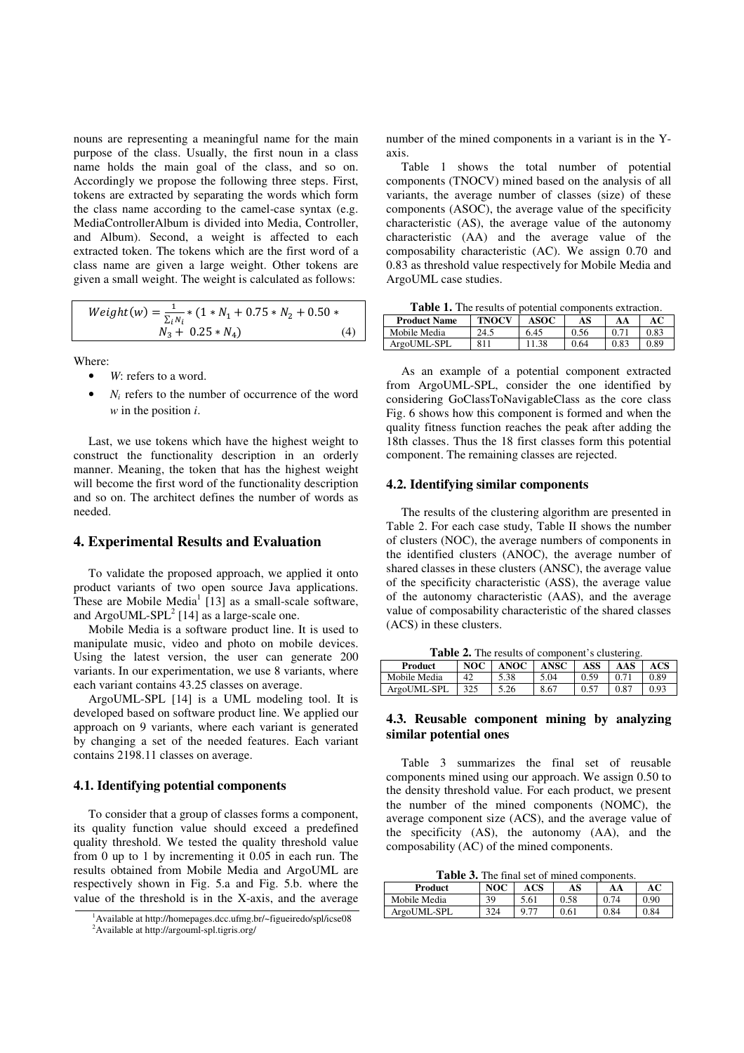nouns are representing a meaningful name for the main purpose of the class. Usually, the first noun in a class name holds the main goal of the class, and so on. Accordingly we propose the following three steps. First, tokens are extracted by separating the words which form the class name according to the camel-case syntax (e.g. MediaControllerAlbum is divided into Media, Controller, and Album). Second, a weight is affected to each extracted token. The tokens which are the first word of a class name are given a large weight. Other tokens are given a small weight. The weight is calculated as follows:

$$
Weight(w) = \frac{1}{\sum_{i} N_i} * (1 * N_1 + 0.75 * N_2 + 0.50 * N_3 + 0.25 * N_4)
$$
\n
$$
(4)
$$

Where:

- W: refers to a word.
- $N_i$  refers to the number of occurrence of the word *w* in the position *i*.

Last, we use tokens which have the highest weight to construct the functionality description in an orderly manner. Meaning, the token that has the highest weight will become the first word of the functionality description and so on. The architect defines the number of words as needed.

# **4. Experimental Results and Evaluation**

To validate the proposed approach, we applied it onto product variants of two open source Java applications. These are Mobile Media<sup>1</sup> [13] as a small-scale software, and  $ArgouML-SPL<sup>2</sup>$  [14] as a large-scale one.

Mobile Media is a software product line. It is used to manipulate music, video and photo on mobile devices. Using the latest version, the user can generate 200 variants. In our experimentation, we use 8 variants, where each variant contains 43.25 classes on average.

ArgoUML-SPL [14] is a UML modeling tool. It is developed based on software product line. We applied our approach on 9 variants, where each variant is generated by changing a set of the needed features. Each variant contains 2198.11 classes on average.

## **4.1. Identifying potential components**

To consider that a group of classes forms a component, its quality function value should exceed a predefined quality threshold. We tested the quality threshold value from 0 up to 1 by incrementing it 0.05 in each run. The results obtained from Mobile Media and ArgoUML are respectively shown in Fig. 5.a and Fig. 5.b. where the value of the threshold is in the X-axis, and the average

number of the mined components in a variant is in the Yaxis.

Table 1 shows the total number of potential components (TNOCV) mined based on the analysis of all variants, the average number of classes (size) of these components (ASOC), the average value of the specificity characteristic (AS), the average value of the autonomy characteristic (AA) and the average value of the composability characteristic (AC). We assign 0.70 and 0.83 as threshold value respectively for Mobile Media and ArgoUML case studies.

**Table 1.** The results of potential components extraction.

| <b>Product Name</b> | <b>TNOCV</b> | <b>ASOC</b> | AS   | AА   |               |
|---------------------|--------------|-------------|------|------|---------------|
| Mobile Media        | 24.5         | 6.45        | 0.56 |      | <u> 2.83 </u> |
| ArgoUML-SPL         |              | .38         | 0.64 | 0.83 | 0.89          |

As an example of a potential component extracted from ArgoUML-SPL, consider the one identified by considering GoClassToNavigableClass as the core class Fig. 6 shows how this component is formed and when the quality fitness function reaches the peak after adding the 18th classes. Thus the 18 first classes form this potential component. The remaining classes are rejected.

### **4.2. Identifying similar components**

The results of the clustering algorithm are presented in Table 2. For each case study, Table II shows the number of clusters (NOC), the average numbers of components in the identified clusters (ANOC), the average number of shared classes in these clusters (ANSC), the average value of the specificity characteristic (ASS), the average value of the autonomy characteristic (AAS), and the average value of composability characteristic of the shared classes (ACS) in these clusters.

**Table 2.** The results of component's clustering.

| Product      | NOC | <b>ANOC</b> | ANSC | ASS  | AAS  | ACS  |
|--------------|-----|-------------|------|------|------|------|
| Mobile Media | 42  | 5.38        | 5.04 | 0.59 | 0.71 | 0.89 |
| ArgoUML-SPL  | 325 | 5.26        | 8.67 | 0.57 | 0.87 | 0.93 |

## **4.3. Reusable component mining by analyzing similar potential ones**

Table 3 summarizes the final set of reusable components mined using our approach. We assign 0.50 to the density threshold value. For each product, we present the number of the mined components (NOMC), the average component size (ACS), and the average value of the specificity (AS), the autonomy (AA), and the composability (AC) of the mined components.

**Table 3.** The final set of mined components.

| -------      |     |      |      |      |      |  |
|--------------|-----|------|------|------|------|--|
| Product      | NOC | ACS  | AS   | AA   |      |  |
| Mobile Media | 39  | 5.61 | 0.58 | 74   | 0.90 |  |
| ArgoUML-SPL  | 324 | 9.77 | 0.61 | 0.84 | 0.84 |  |

 $^1$ Available at http://homepages.dcc.ufmg.br/~figueiredo/spl/icse08 <sup>2</sup>Available at http://argouml-spl.tigris.org/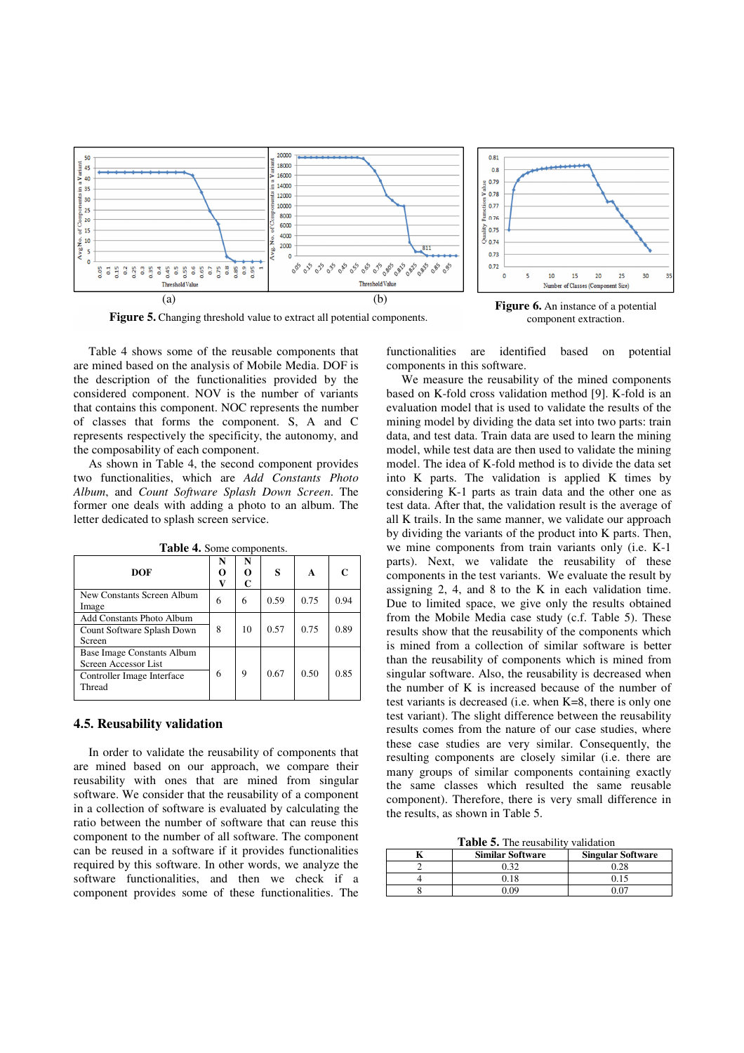

**Figure 5.** Changing threshold value to extract all potential components.

**Figure 6.** An instance of a potential component extraction.

Table 4 shows some of the reusable components that are mined based on the analysis of Mobile Media. DOF is the description of the functionalities provided by the considered component. NOV is the number of variants that contains this component. NOC represents the number of classes that forms the component. S, A and C represents respectively the specificity, the autonomy, and the composability of each component.

As shown in Table 4, the second component provides two functionalities, which are *Add Constants Photo Album*, and *Count Software Splash Down Screen*. The former one deals with adding a photo to an album. The letter dedicated to splash screen service.

| DOF                                                                                        | N<br>റ<br>v | N<br>0<br>C | s    | A    | $\mathsf{C}$ |
|--------------------------------------------------------------------------------------------|-------------|-------------|------|------|--------------|
| New Constants Screen Album<br>Image                                                        | 6           | 6           | 0.59 | 0.75 | 0.94         |
| Add Constants Photo Album<br>Count Software Splash Down<br>Screen                          | 8           | 10          | 0.57 | 0.75 | 0.89         |
| Base Image Constants Album<br>Screen Accessor List<br>Controller Image Interface<br>Thread | 6           | 9           | 0.67 | 0.50 | 0.85         |

**Table 4.** Some components.

#### **4.5. Reusability validation**

In order to validate the reusability of components that are mined based on our approach, we compare their reusability with ones that are mined from singular software. We consider that the reusability of a component in a collection of software is evaluated by calculating the ratio between the number of software that can reuse this component to the number of all software. The component can be reused in a software if it provides functionalities required by this software. In other words, we analyze the software functionalities, and then we check if a component provides some of these functionalities. The

functionalities are identified based on potential components in this software.

We measure the reusability of the mined components based on K-fold cross validation method [9]. K-fold is an evaluation model that is used to validate the results of the mining model by dividing the data set into two parts: train data, and test data. Train data are used to learn the mining model, while test data are then used to validate the mining model. The idea of K-fold method is to divide the data set into K parts. The validation is applied K times by considering K-1 parts as train data and the other one as test data. After that, the validation result is the average of all K trails. In the same manner, we validate our approach by dividing the variants of the product into K parts. Then, we mine components from train variants only (i.e. K-1 parts). Next, we validate the reusability of these components in the test variants. We evaluate the result by assigning 2, 4, and 8 to the K in each validation time. Due to limited space, we give only the results obtained from the Mobile Media case study (c.f. Table 5). These results show that the reusability of the components which is mined from a collection of similar software is better than the reusability of components which is mined from singular software. Also, the reusability is decreased when the number of K is increased because of the number of test variants is decreased (i.e. when K=8, there is only one test variant). The slight difference between the reusability results comes from the nature of our case studies, where these case studies are very similar. Consequently, the resulting components are closely similar (i.e. there are many groups of similar components containing exactly the same classes which resulted the same reusable component). Therefore, there is very small difference in the results, as shown in Table 5.

**Table 5.** The reusability validation

| <b>Similar Software</b> | <b>Singular Software</b> |
|-------------------------|--------------------------|
|                         | 0.28                     |
|                         | 0.15                     |
| $\Omega$                |                          |